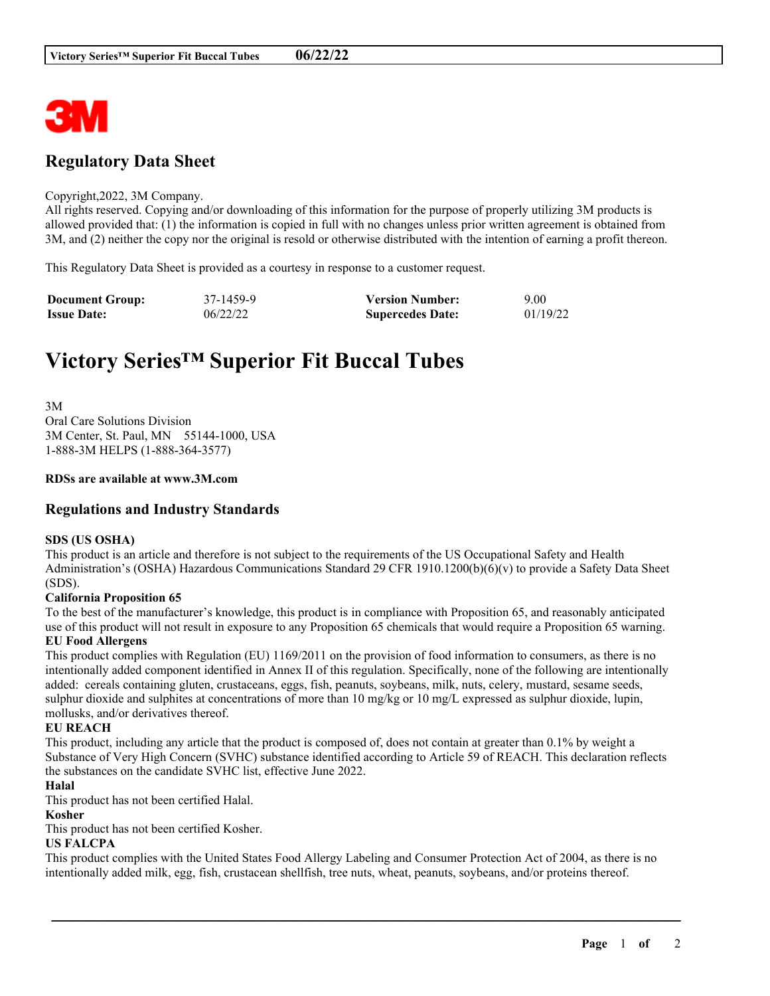

## **Regulatory Data Sheet**

#### Copyright,2022, 3M Company.

All rights reserved. Copying and/or downloading of this information for the purpose of properly utilizing 3M products is allowed provided that: (1) the information is copied in full with no changes unless prior written agreement is obtained from 3M, and (2) neither the copy nor the original is resold or otherwise distributed with the intention of earning a profit thereon.

This Regulatory Data Sheet is provided as a courtesy in response to a customer request.

| <b>Document Group:</b> | 37-1459-9 | <b>Version Number:</b>  | 9.00     |
|------------------------|-----------|-------------------------|----------|
| <b>Issue Date:</b>     | 06/22/22  | <b>Supercedes Date:</b> | 01/19/22 |

# **Victory Series™ Superior Fit Buccal Tubes**

3M Oral Care Solutions Division 3M Center, St. Paul, MN 55144-1000, USA 1-888-3M HELPS (1-888-364-3577)

#### **RDSs are available at www.3M.com**

#### **Regulations and Industry Standards**

#### **SDS (US OSHA)**

This product is an article and therefore is not subject to the requirements of the US Occupational Safety and Health Administration's (OSHA) Hazardous Communications Standard 29 CFR 1910.1200(b)(6)(v) to provide a Safety Data Sheet (SDS).

#### **California Proposition 65**

To the best of the manufacturer's knowledge, this product is in compliance with Proposition 65, and reasonably anticipated use of this product will not result in exposure to any Proposition 65 chemicals that would require a Proposition 65 warning. **EU Food Allergens**

This product complies with Regulation (EU) 1169/2011 on the provision of food information to consumers, as there is no intentionally added component identified in Annex II of this regulation. Specifically, none of the following are intentionally added: cereals containing gluten, crustaceans, eggs, fish, peanuts, soybeans, milk, nuts, celery, mustard, sesame seeds, sulphur dioxide and sulphites at concentrations of more than 10 mg/kg or 10 mg/L expressed as sulphur dioxide, lupin, mollusks, and/or derivatives thereof.

#### **EU REACH**

This product, including any article that the product is composed of, does not contain at greater than 0.1% by weight a Substance of Very High Concern (SVHC) substance identified according to Article 59 of REACH. This declaration reflects the substances on the candidate SVHC list, effective June 2022.

#### **Halal**

This product has not been certified Halal.

#### **Kosher**

This product has not been certified Kosher.

#### **US FALCPA**

This product complies with the United States Food Allergy Labeling and Consumer Protection Act of 2004, as there is no intentionally added milk, egg, fish, crustacean shellfish, tree nuts, wheat, peanuts, soybeans, and/or proteins thereof.

\_\_\_\_\_\_\_\_\_\_\_\_\_\_\_\_\_\_\_\_\_\_\_\_\_\_\_\_\_\_\_\_\_\_\_\_\_\_\_\_\_\_\_\_\_\_\_\_\_\_\_\_\_\_\_\_\_\_\_\_\_\_\_\_\_\_\_\_\_\_\_\_\_\_\_\_\_\_\_\_\_\_\_\_\_\_\_\_\_\_